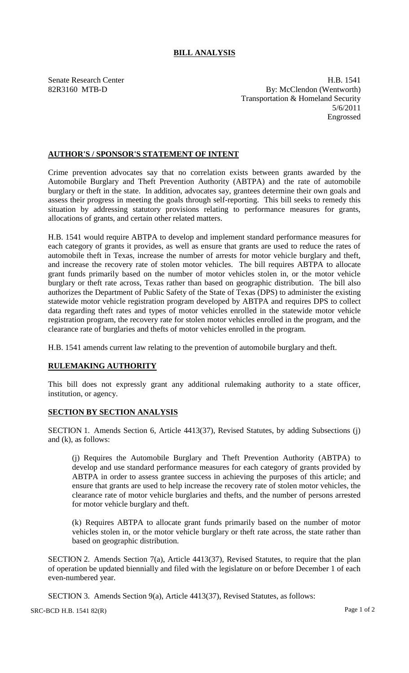## **BILL ANALYSIS**

Senate Research Center **H.B. 1541** 82R3160 MTB-D By: McClendon (Wentworth) Transportation & Homeland Security 5/6/2011 Engrossed

## **AUTHOR'S / SPONSOR'S STATEMENT OF INTENT**

Crime prevention advocates say that no correlation exists between grants awarded by the Automobile Burglary and Theft Prevention Authority (ABTPA) and the rate of automobile burglary or theft in the state. In addition, advocates say, grantees determine their own goals and assess their progress in meeting the goals through self-reporting. This bill seeks to remedy this situation by addressing statutory provisions relating to performance measures for grants, allocations of grants, and certain other related matters.

H.B. 1541 would require ABTPA to develop and implement standard performance measures for each category of grants it provides, as well as ensure that grants are used to reduce the rates of automobile theft in Texas, increase the number of arrests for motor vehicle burglary and theft, and increase the recovery rate of stolen motor vehicles. The bill requires ABTPA to allocate grant funds primarily based on the number of motor vehicles stolen in, or the motor vehicle burglary or theft rate across, Texas rather than based on geographic distribution. The bill also authorizes the Department of Public Safety of the State of Texas (DPS) to administer the existing statewide motor vehicle registration program developed by ABTPA and requires DPS to collect data regarding theft rates and types of motor vehicles enrolled in the statewide motor vehicle registration program, the recovery rate for stolen motor vehicles enrolled in the program, and the clearance rate of burglaries and thefts of motor vehicles enrolled in the program.

H.B. 1541 amends current law relating to the prevention of automobile burglary and theft.

## **RULEMAKING AUTHORITY**

This bill does not expressly grant any additional rulemaking authority to a state officer, institution, or agency.

## **SECTION BY SECTION ANALYSIS**

SECTION 1. Amends Section 6, Article 4413(37), Revised Statutes, by adding Subsections (j) and (k), as follows:

(j) Requires the Automobile Burglary and Theft Prevention Authority (ABTPA) to develop and use standard performance measures for each category of grants provided by ABTPA in order to assess grantee success in achieving the purposes of this article; and ensure that grants are used to help increase the recovery rate of stolen motor vehicles, the clearance rate of motor vehicle burglaries and thefts, and the number of persons arrested for motor vehicle burglary and theft.

(k) Requires ABTPA to allocate grant funds primarily based on the number of motor vehicles stolen in, or the motor vehicle burglary or theft rate across, the state rather than based on geographic distribution.

SECTION 2. Amends Section 7(a), Article 4413(37), Revised Statutes, to require that the plan of operation be updated biennially and filed with the legislature on or before December 1 of each even-numbered year.

SECTION 3. Amends Section 9(a), Article 4413(37), Revised Statutes, as follows: